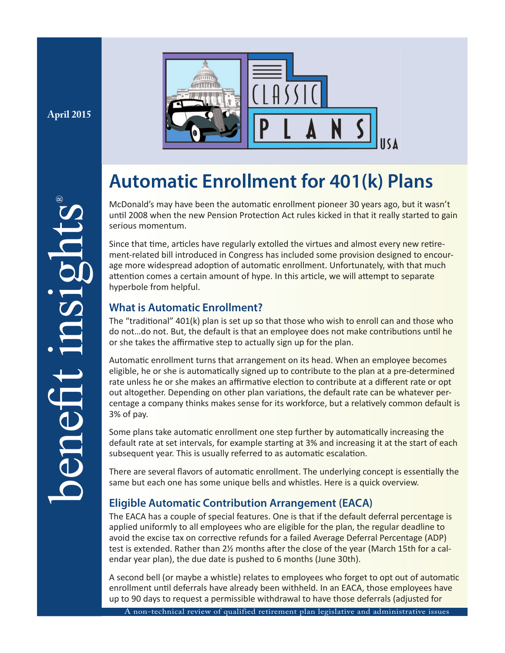**April 2015**



# **Automatic Enrollment for 401(k) Plans**

McDonald's may have been the automatic enrollment pioneer 30 years ago, but it wasn't until 2008 when the new Pension Protection Act rules kicked in that it really started to gain serious momentum.

Since that time, articles have regularly extolled the virtues and almost every new retirement-related bill introduced in Congress has included some provision designed to encourage more widespread adoption of automatic enrollment. Unfortunately, with that much attention comes a certain amount of hype. In this article, we will attempt to separate hyperbole from helpful.

# **What is Automatic Enrollment?**

The "traditional"  $401(k)$  plan is set up so that those who wish to enroll can and those who do not...do not. But, the default is that an employee does not make contributions until he or she takes the affirmative step to actually sign up for the plan.

Automatic enrollment turns that arrangement on its head. When an employee becomes eligible, he or she is automatically signed up to contribute to the plan at a pre-determined rate unless he or she makes an affirmative election to contribute at a different rate or opt out altogether. Depending on other plan variations, the default rate can be whatever percentage a company thinks makes sense for its workforce, but a relatively common default is 3% of pay.

Some plans take automatic enrollment one step further by automatically increasing the default rate at set intervals, for example starting at 3% and increasing it at the start of each subsequent year. This is usually referred to as automatic escalation.

There are several flavors of automatic enrollment. The underlying concept is essentially the same but each one has some unique bells and whistles. Here is a quick overview.

# **Eligible Automatic Contribution Arrangement (EACA)**

The EACA has a couple of special features. One is that if the default deferral percentage is applied uniformly to all employees who are eligible for the plan, the regular deadline to avoid the excise tax on corrective refunds for a failed Average Deferral Percentage (ADP) test is extended. Rather than 21/2 months after the close of the year (March 15th for a calendar year plan), the due date is pushed to 6 months (June 30th).

A second bell (or maybe a whistle) relates to employees who forget to opt out of automatic enrollment until deferrals have already been withheld. In an EACA, those employees have up to 90 days to request a permissible withdrawal to have those deferrals (adjusted for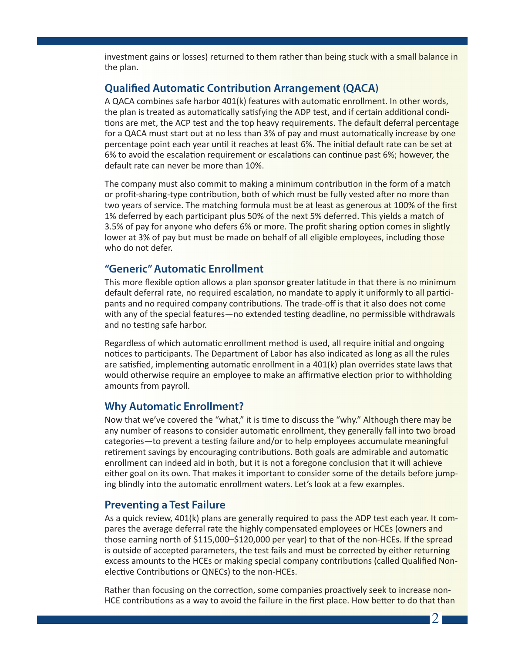investment gains or losses) returned to them rather than being stuck with a small balance in the plan.

## **Qualified Automatic Contribution Arrangement (QACA)**

A QACA combines safe harbor 401(k) features with automatic enrollment. In other words, the plan is treated as automatically satisfying the ADP test, and if certain additional conditions are met, the ACP test and the top heavy requirements. The default deferral percentage for a QACA must start out at no less than 3% of pay and must automatically increase by one percentage point each year until it reaches at least 6%. The initial default rate can be set at 6% to avoid the escalation requirement or escalations can continue past 6%; however, the default rate can never be more than 10%.

The company must also commit to making a minimum contribution in the form of a match or profit-sharing-type contribution, both of which must be fully vested after no more than two years of service. The matching formula must be at least as generous at 100% of the first 1% deferred by each participant plus 50% of the next 5% deferred. This yields a match of 3.5% of pay for anyone who defers 6% or more. The profit sharing option comes in slightly lower at 3% of pay but must be made on behalf of all eligible employees, including those who do not defer.

## **"Generic" Automatic Enrollment**

This more flexible option allows a plan sponsor greater latitude in that there is no minimum default deferral rate, no required escalation, no mandate to apply it uniformly to all participants and no required company contributions. The trade-off is that it also does not come with any of the special features—no extended testing deadline, no permissible withdrawals and no testing safe harbor.

Regardless of which automatic enrollment method is used, all require initial and ongoing notices to participants. The Department of Labor has also indicated as long as all the rules are satisfied, implementing automatic enrollment in a  $401(k)$  plan overrides state laws that would otherwise require an employee to make an affirmative election prior to withholding amounts from payroll.

## **Why Automatic Enrollment?**

Now that we've covered the "what," it is time to discuss the "why." Although there may be any number of reasons to consider automatic enrollment, they generally fall into two broad categories—to prevent a testing failure and/or to help employees accumulate meaningful retirement savings by encouraging contributions. Both goals are admirable and automatic enrollment can indeed aid in both, but it is not a foregone conclusion that it will achieve either goal on its own. That makes it important to consider some of the details before jumping blindly into the automatic enrollment waters. Let's look at a few examples.

## **Preventing a Test Failure**

As a quick review, 401(k) plans are generally required to pass the ADP test each year. It compares the average deferral rate the highly compensated employees or HCEs (owners and those earning north of \$115,000–\$120,000 per year) to that of the non-HCEs. If the spread is outside of accepted parameters, the test fails and must be corrected by either returning excess amounts to the HCEs or making special company contributions (called Qualified Nonelective Contributions or QNECs) to the non-HCEs.

Rather than focusing on the correction, some companies proactively seek to increase non-HCE contributions as a way to avoid the failure in the first place. How better to do that than

 $2<sub>1</sub>$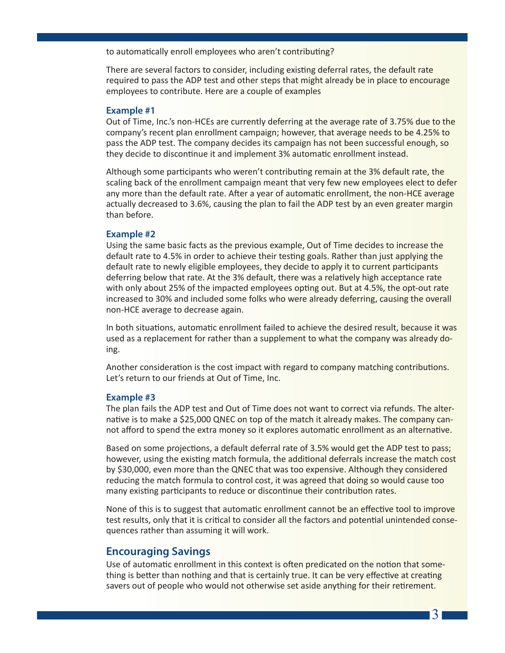to automatically enroll employees who aren't contributing?

There are several factors to consider, including existing deferral rates, the default rate required to pass the ADP test and other steps that might already be in place to encourage employees to contribute. Here are a couple of examples

#### **Example #1**

Out of Time, Inc.'s non-HCEs are currently deferring at the average rate of 3.75% due to the company's recent plan enrollment campaign; however, that average needs to be 4.25% to pass the ADP test. The company decides its campaign has not been successful enough, so they decide to discontinue it and implement 3% automatic enrollment instead.

Although some participants who weren't contributing remain at the 3% default rate, the scaling back of the enrollment campaign meant that very few new employees elect to defer any more than the default rate. After a year of automatic enrollment, the non-HCE average actually decreased to 3.6%, causing the plan to fail the ADP test by an even greater margin than before.

#### **Example #2**

Using the same basic facts as the previous example, Out of Time decides to increase the default rate to 4.5% in order to achieve their testing goals. Rather than just applying the default rate to newly eligible employees, they decide to apply it to current participants deferring below that rate. At the 3% default, there was a relatively high acceptance rate with only about 25% of the impacted employees opting out. But at 4.5%, the opt-out rate increased to 30% and included some folks who were already deferring, causing the overall non-HCE average to decrease again.

In both situations, automatic enrollment failed to achieve the desired result, because it was used as a replacement for rather than a supplement to what the company was already doing.

Another consideration is the cost impact with regard to company matching contributions. Let's return to our friends at Out of Time, Inc.

#### **Example #3**

The plan fails the ADP test and Out of Time does not want to correct via refunds. The alternative is to make a \$25,000 QNEC on top of the match it already makes. The company cannot afford to spend the extra money so it explores automatic enrollment as an alternative.

Based on some projections, a default deferral rate of 3.5% would get the ADP test to pass; however, using the existing match formula, the additional deferrals increase the match cost by \$30,000, even more than the QNEC that was too expensive. Although they considered reducing the match formula to control cost, it was agreed that doing so would cause too many existing participants to reduce or discontinue their contribution rates.

None of this is to suggest that automatic enrollment cannot be an effective tool to improve test results, only that it is critical to consider all the factors and potential unintended consequences rather than assuming it will work.

## **Encouraging Savings**

Use of automatic enrollment in this context is often predicated on the notion that something is better than nothing and that is certainly true. It can be very effective at creating savers out of people who would not otherwise set aside anything for their retirement.

3